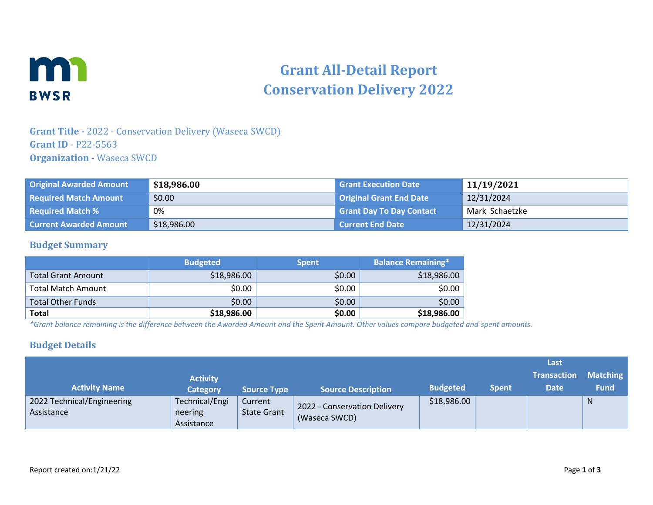

# **Grant All-Detail Report Conservation Delivery 2022**

## **Grant Title -** 2022 - Conservation Delivery (Waseca SWCD) **Grant ID** - P22-5563 **Organization -** Waseca SWCD

| <b>Original Awarded Amount</b> | \$18,986.00 | <b>Grant Execution Date</b>     | 11/19/2021     |
|--------------------------------|-------------|---------------------------------|----------------|
| <b>Required Match Amount</b>   | \$0.00      | <b>Original Grant End Date</b>  | 12/31/2024     |
| <b>Required Match %</b>        | 0%          | <b>Grant Day To Day Contact</b> | Mark Schaetzke |
| <b>Current Awarded Amount</b>  | \$18,986.00 | l Current End Date              | 12/31/2024     |

#### **Budget Summary**

|                           | <b>Budgeted</b> | <b>Spent</b> | <b>Balance Remaining*</b> |
|---------------------------|-----------------|--------------|---------------------------|
| <b>Total Grant Amount</b> | \$18,986.00     | \$0.00       | \$18,986.00               |
| Total Match Amount        | \$0.00          | \$0.00       | \$0.00                    |
| <b>Total Other Funds</b>  | \$0.00          | \$0.00       | \$0.00                    |
| <b>Total</b>              | \$18,986.00     | \$0.00       | \$18,986.00               |

*\*Grant balance remaining is the difference between the Awarded Amount and the Spent Amount. Other values compare budgeted and spent amounts.*

#### **Budget Details**

|                                          |                                         |                               |                                               |                 |              | Last               |                 |
|------------------------------------------|-----------------------------------------|-------------------------------|-----------------------------------------------|-----------------|--------------|--------------------|-----------------|
|                                          | <b>Activity</b>                         |                               |                                               |                 |              | <b>Transaction</b> | <b>Matching</b> |
| <b>Activity Name</b>                     | <b>Category</b>                         | <b>Source Type</b>            | <b>Source Description</b>                     | <b>Budgeted</b> | <b>Spent</b> | <b>Date</b>        | <b>Fund</b>     |
| 2022 Technical/Engineering<br>Assistance | Technical/Engi<br>neering<br>Assistance | Current<br><b>State Grant</b> | 2022 - Conservation Delivery<br>(Waseca SWCD) | \$18,986.00     |              |                    | N               |